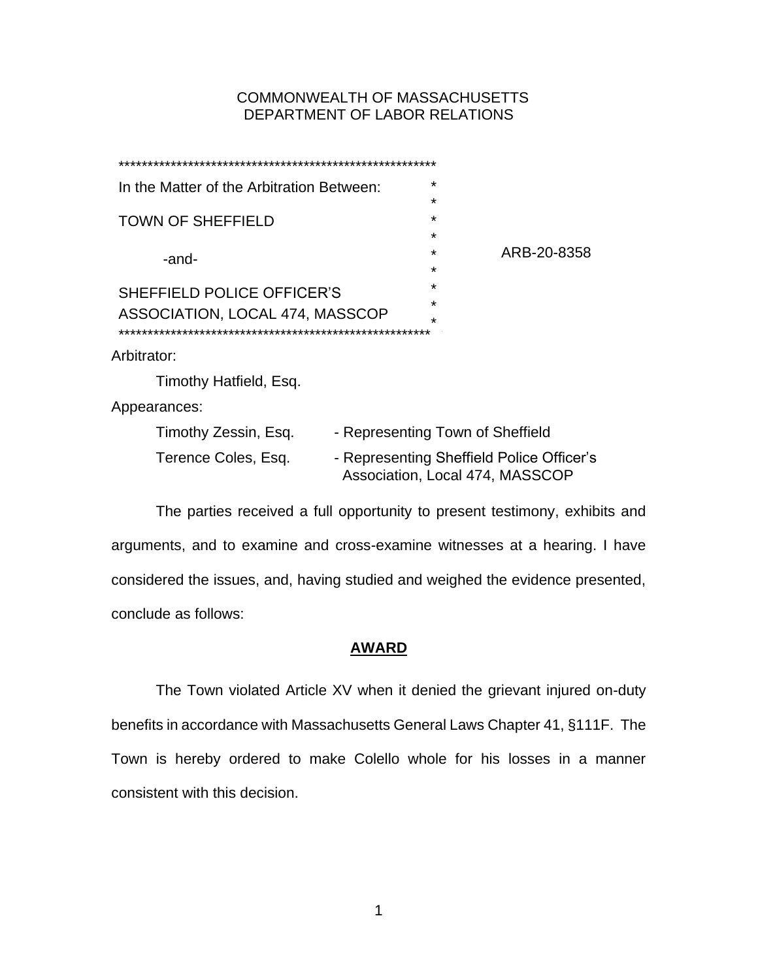# COMMONWEALTH OF MASSACHUSETTS DEPARTMENT OF LABOR RELATIONS

| In the Matter of the Arbitration Between:                            |                                                                              | $\star$      |             |
|----------------------------------------------------------------------|------------------------------------------------------------------------------|--------------|-------------|
| <b>TOWN OF SHEFFIELD</b>                                             |                                                                              | ÷<br>$\star$ |             |
|                                                                      |                                                                              | $\star$      |             |
| -and-                                                                |                                                                              | $\star$      | ARB-20-8358 |
|                                                                      |                                                                              | ÷            |             |
| <b>SHEFFIELD POLICE OFFICER'S</b><br>ASSOCIATION, LOCAL 474, MASSCOP |                                                                              | $\star$      |             |
|                                                                      |                                                                              | ÷            |             |
|                                                                      |                                                                              | $\star$      |             |
| Arbitrator:                                                          |                                                                              |              |             |
| Timothy Hatfield, Esq.                                               |                                                                              |              |             |
| Appearances:                                                         |                                                                              |              |             |
| Timothy Zessin, Esq.                                                 | - Representing Town of Sheffield                                             |              |             |
| Terence Coles, Esq.                                                  | - Representing Sheffield Police Officer's<br>Association, Local 474, MASSCOP |              |             |

The parties received a full opportunity to present testimony, exhibits and arguments, and to examine and cross-examine witnesses at a hearing. I have considered the issues, and, having studied and weighed the evidence presented, conclude as follows:

# **AWARD**

The Town violated Article XV when it denied the grievant injured on-duty benefits in accordance with Massachusetts General Laws Chapter 41, §111F. The Town is hereby ordered to make Colello whole for his losses in a manner consistent with this decision.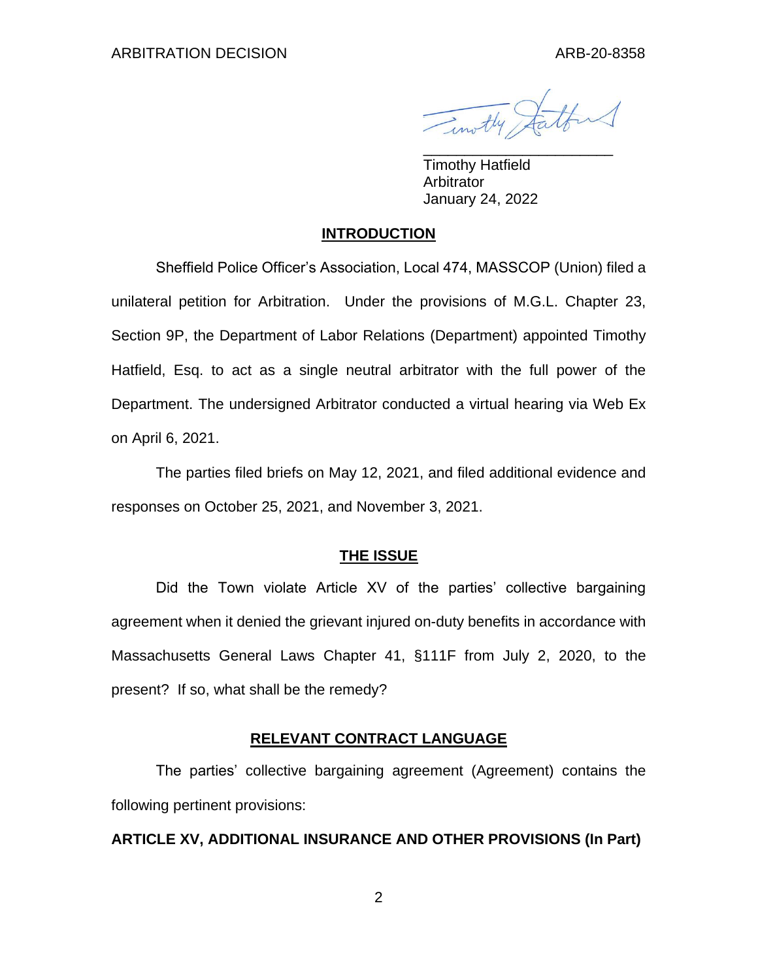Timothy Startford

Timothy Hatfield Arbitrator January 24, 2022

## **INTRODUCTION**

Sheffield Police Officer's Association, Local 474, MASSCOP (Union) filed a unilateral petition for Arbitration. Under the provisions of M.G.L. Chapter 23, Section 9P, the Department of Labor Relations (Department) appointed Timothy Hatfield, Esq. to act as a single neutral arbitrator with the full power of the Department. The undersigned Arbitrator conducted a virtual hearing via Web Ex on April 6, 2021.

The parties filed briefs on May 12, 2021, and filed additional evidence and responses on October 25, 2021, and November 3, 2021.

# **THE ISSUE**

Did the Town violate Article XV of the parties' collective bargaining agreement when it denied the grievant injured on-duty benefits in accordance with Massachusetts General Laws Chapter 41, §111F from July 2, 2020, to the present? If so, what shall be the remedy?

## **RELEVANT CONTRACT LANGUAGE**

The parties' collective bargaining agreement (Agreement) contains the following pertinent provisions:

## **ARTICLE XV, ADDITIONAL INSURANCE AND OTHER PROVISIONS (In Part)**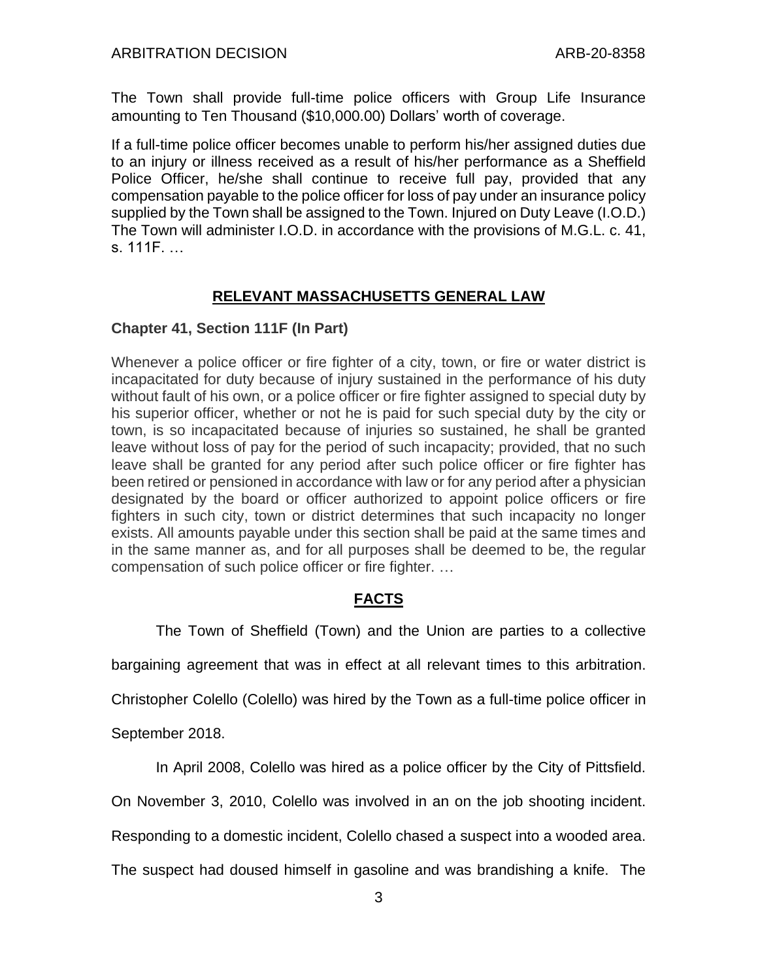The Town shall provide full-time police officers with Group Life Insurance amounting to Ten Thousand (\$10,000.00) Dollars' worth of coverage.

If a full-time police officer becomes unable to perform his/her assigned duties due to an injury or illness received as a result of his/her performance as a Sheffield Police Officer, he/she shall continue to receive full pay, provided that any compensation payable to the police officer for loss of pay under an insurance policy supplied by the Town shall be assigned to the Town. Injured on Duty Leave (I.O.D.) The Town will administer I.O.D. in accordance with the provisions of M.G.L. c. 41, s. 111F. …

# **RELEVANT MASSACHUSETTS GENERAL LAW**

# **Chapter 41, Section 111F (In Part)**

Whenever a police officer or fire fighter of a city, town, or fire or water district is incapacitated for duty because of injury sustained in the performance of his duty without fault of his own, or a police officer or fire fighter assigned to special duty by his superior officer, whether or not he is paid for such special duty by the city or town, is so incapacitated because of injuries so sustained, he shall be granted leave without loss of pay for the period of such incapacity; provided, that no such leave shall be granted for any period after such police officer or fire fighter has been retired or pensioned in accordance with law or for any period after a physician designated by the board or officer authorized to appoint police officers or fire fighters in such city, town or district determines that such incapacity no longer exists. All amounts payable under this section shall be paid at the same times and in the same manner as, and for all purposes shall be deemed to be, the regular compensation of such police officer or fire fighter. …

# **FACTS**

The Town of Sheffield (Town) and the Union are parties to a collective

bargaining agreement that was in effect at all relevant times to this arbitration.

Christopher Colello (Colello) was hired by the Town as a full-time police officer in

September 2018.

In April 2008, Colello was hired as a police officer by the City of Pittsfield.

On November 3, 2010, Colello was involved in an on the job shooting incident.

Responding to a domestic incident, Colello chased a suspect into a wooded area.

The suspect had doused himself in gasoline and was brandishing a knife. The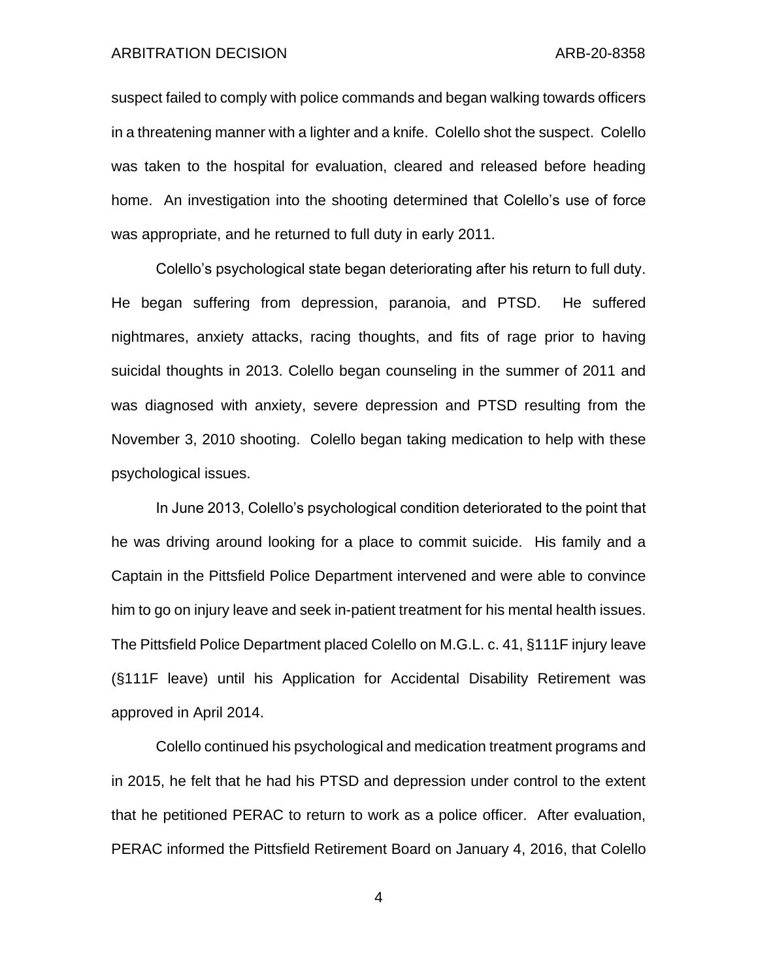suspect failed to comply with police commands and began walking towards officers in a threatening manner with a lighter and a knife. Colello shot the suspect. Colello was taken to the hospital for evaluation, cleared and released before heading home. An investigation into the shooting determined that Colello's use of force was appropriate, and he returned to full duty in early 2011.

Colello's psychological state began deteriorating after his return to full duty. He began suffering from depression, paranoia, and PTSD. He suffered nightmares, anxiety attacks, racing thoughts, and fits of rage prior to having suicidal thoughts in 2013. Colello began counseling in the summer of 2011 and was diagnosed with anxiety, severe depression and PTSD resulting from the November 3, 2010 shooting. Colello began taking medication to help with these psychological issues.

In June 2013, Colello's psychological condition deteriorated to the point that he was driving around looking for a place to commit suicide. His family and a Captain in the Pittsfield Police Department intervened and were able to convince him to go on injury leave and seek in-patient treatment for his mental health issues. The Pittsfield Police Department placed Colello on M.G.L. c. 41, §111F injury leave (§111F leave) until his Application for Accidental Disability Retirement was approved in April 2014.

Colello continued his psychological and medication treatment programs and in 2015, he felt that he had his PTSD and depression under control to the extent that he petitioned PERAC to return to work as a police officer. After evaluation, PERAC informed the Pittsfield Retirement Board on January 4, 2016, that Colello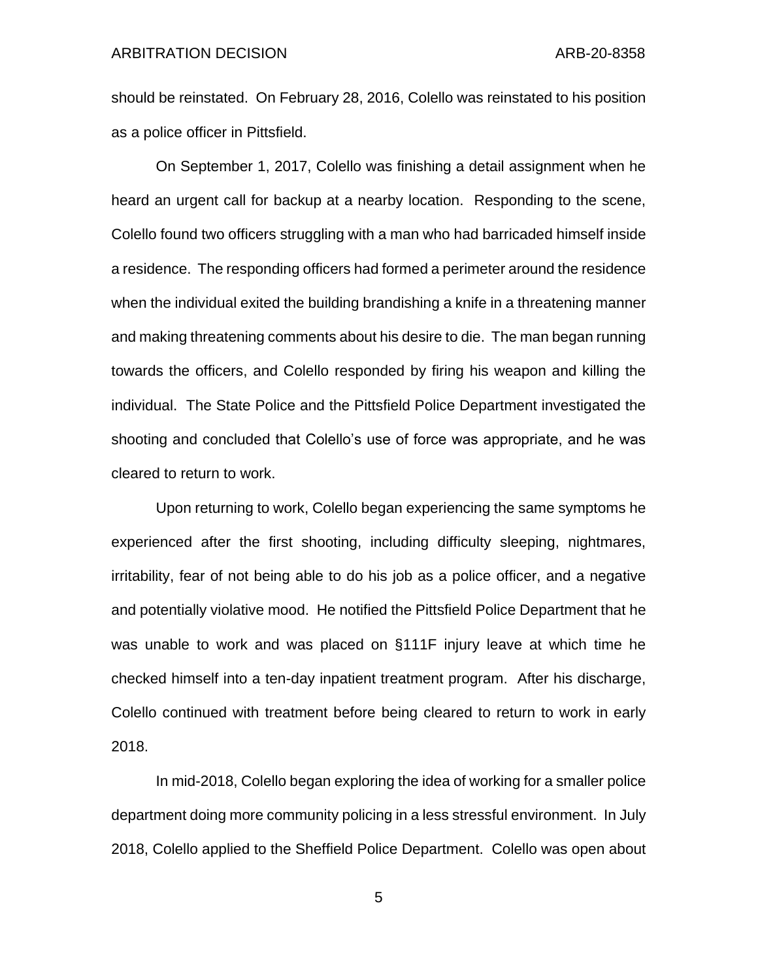should be reinstated. On February 28, 2016, Colello was reinstated to his position as a police officer in Pittsfield.

On September 1, 2017, Colello was finishing a detail assignment when he heard an urgent call for backup at a nearby location. Responding to the scene, Colello found two officers struggling with a man who had barricaded himself inside a residence. The responding officers had formed a perimeter around the residence when the individual exited the building brandishing a knife in a threatening manner and making threatening comments about his desire to die. The man began running towards the officers, and Colello responded by firing his weapon and killing the individual. The State Police and the Pittsfield Police Department investigated the shooting and concluded that Colello's use of force was appropriate, and he was cleared to return to work.

Upon returning to work, Colello began experiencing the same symptoms he experienced after the first shooting, including difficulty sleeping, nightmares, irritability, fear of not being able to do his job as a police officer, and a negative and potentially violative mood. He notified the Pittsfield Police Department that he was unable to work and was placed on §111F injury leave at which time he checked himself into a ten-day inpatient treatment program. After his discharge, Colello continued with treatment before being cleared to return to work in early 2018.

In mid-2018, Colello began exploring the idea of working for a smaller police department doing more community policing in a less stressful environment. In July 2018, Colello applied to the Sheffield Police Department. Colello was open about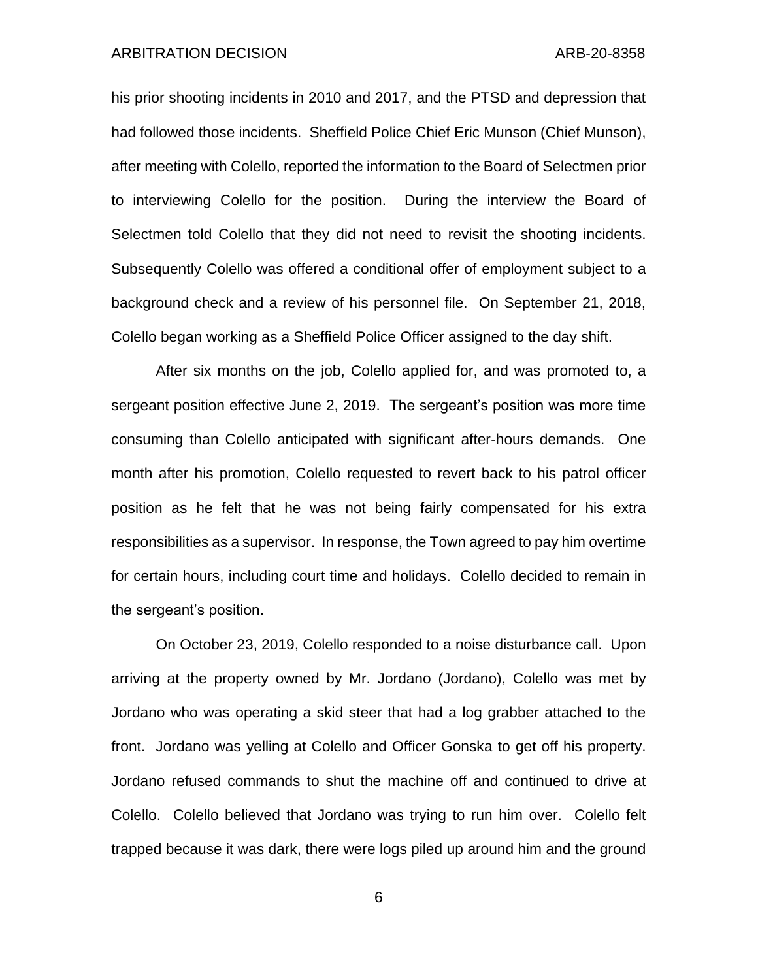his prior shooting incidents in 2010 and 2017, and the PTSD and depression that had followed those incidents. Sheffield Police Chief Eric Munson (Chief Munson), after meeting with Colello, reported the information to the Board of Selectmen prior to interviewing Colello for the position. During the interview the Board of Selectmen told Colello that they did not need to revisit the shooting incidents. Subsequently Colello was offered a conditional offer of employment subject to a background check and a review of his personnel file. On September 21, 2018, Colello began working as a Sheffield Police Officer assigned to the day shift.

After six months on the job, Colello applied for, and was promoted to, a sergeant position effective June 2, 2019. The sergeant's position was more time consuming than Colello anticipated with significant after-hours demands. One month after his promotion, Colello requested to revert back to his patrol officer position as he felt that he was not being fairly compensated for his extra responsibilities as a supervisor. In response, the Town agreed to pay him overtime for certain hours, including court time and holidays. Colello decided to remain in the sergeant's position.

On October 23, 2019, Colello responded to a noise disturbance call. Upon arriving at the property owned by Mr. Jordano (Jordano), Colello was met by Jordano who was operating a skid steer that had a log grabber attached to the front. Jordano was yelling at Colello and Officer Gonska to get off his property. Jordano refused commands to shut the machine off and continued to drive at Colello. Colello believed that Jordano was trying to run him over. Colello felt trapped because it was dark, there were logs piled up around him and the ground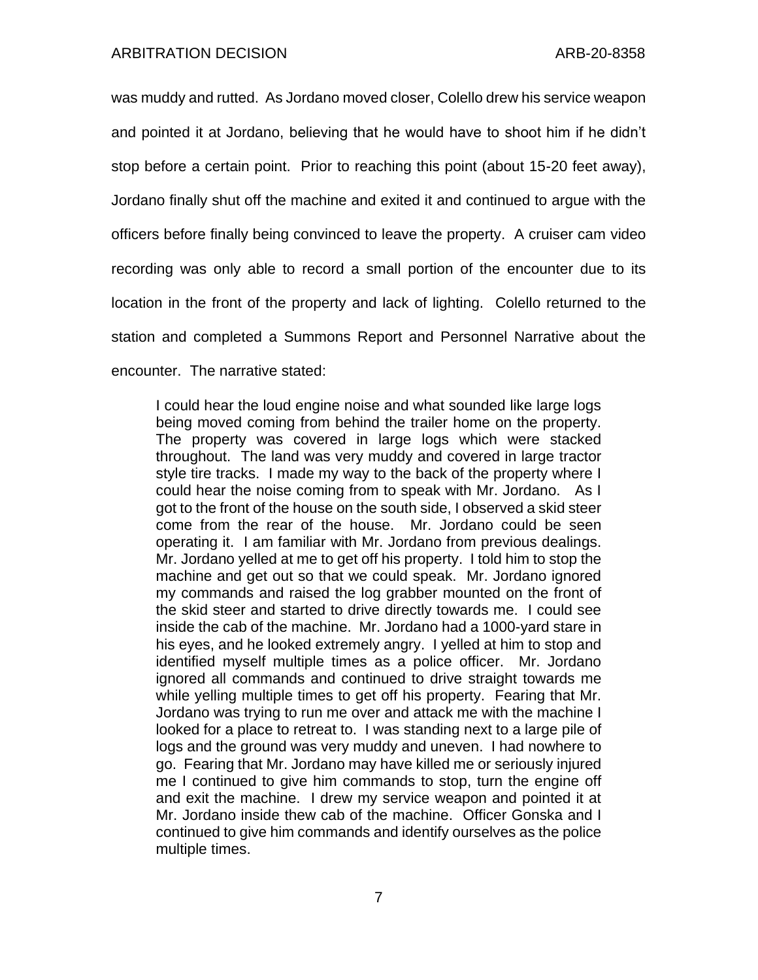was muddy and rutted. As Jordano moved closer, Colello drew his service weapon and pointed it at Jordano, believing that he would have to shoot him if he didn't stop before a certain point. Prior to reaching this point (about 15-20 feet away), Jordano finally shut off the machine and exited it and continued to argue with the officers before finally being convinced to leave the property. A cruiser cam video recording was only able to record a small portion of the encounter due to its location in the front of the property and lack of lighting. Colello returned to the station and completed a Summons Report and Personnel Narrative about the encounter. The narrative stated:

I could hear the loud engine noise and what sounded like large logs being moved coming from behind the trailer home on the property. The property was covered in large logs which were stacked throughout. The land was very muddy and covered in large tractor style tire tracks. I made my way to the back of the property where I could hear the noise coming from to speak with Mr. Jordano. As I got to the front of the house on the south side, I observed a skid steer come from the rear of the house. Mr. Jordano could be seen operating it. I am familiar with Mr. Jordano from previous dealings. Mr. Jordano yelled at me to get off his property. I told him to stop the machine and get out so that we could speak. Mr. Jordano ignored my commands and raised the log grabber mounted on the front of the skid steer and started to drive directly towards me. I could see inside the cab of the machine. Mr. Jordano had a 1000-yard stare in his eyes, and he looked extremely angry. I yelled at him to stop and identified myself multiple times as a police officer. Mr. Jordano ignored all commands and continued to drive straight towards me while yelling multiple times to get off his property. Fearing that Mr. Jordano was trying to run me over and attack me with the machine I looked for a place to retreat to. I was standing next to a large pile of logs and the ground was very muddy and uneven. I had nowhere to go. Fearing that Mr. Jordano may have killed me or seriously injured me I continued to give him commands to stop, turn the engine off and exit the machine. I drew my service weapon and pointed it at Mr. Jordano inside thew cab of the machine. Officer Gonska and I continued to give him commands and identify ourselves as the police multiple times.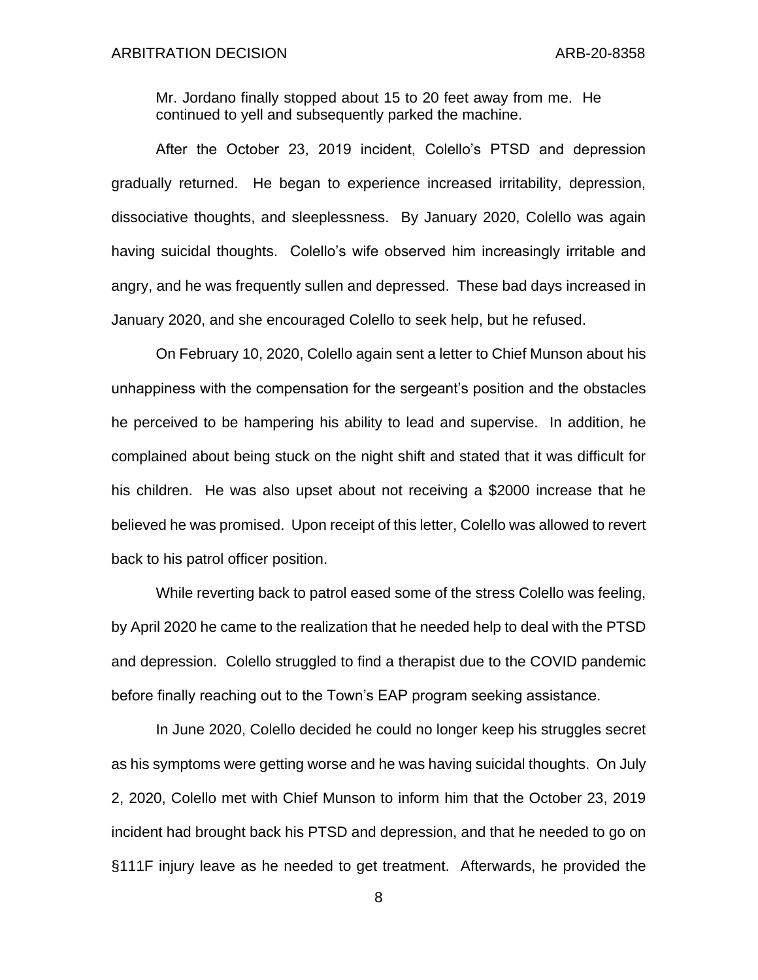Mr. Jordano finally stopped about 15 to 20 feet away from me. He continued to yell and subsequently parked the machine.

After the October 23, 2019 incident, Colello's PTSD and depression gradually returned. He began to experience increased irritability, depression, dissociative thoughts, and sleeplessness. By January 2020, Colello was again having suicidal thoughts. Colello's wife observed him increasingly irritable and angry, and he was frequently sullen and depressed. These bad days increased in January 2020, and she encouraged Colello to seek help, but he refused.

On February 10, 2020, Colello again sent a letter to Chief Munson about his unhappiness with the compensation for the sergeant's position and the obstacles he perceived to be hampering his ability to lead and supervise. In addition, he complained about being stuck on the night shift and stated that it was difficult for his children. He was also upset about not receiving a \$2000 increase that he believed he was promised. Upon receipt of this letter, Colello was allowed to revert back to his patrol officer position.

While reverting back to patrol eased some of the stress Colello was feeling, by April 2020 he came to the realization that he needed help to deal with the PTSD and depression. Colello struggled to find a therapist due to the COVID pandemic before finally reaching out to the Town's EAP program seeking assistance.

In June 2020, Colello decided he could no longer keep his struggles secret as his symptoms were getting worse and he was having suicidal thoughts. On July 2, 2020, Colello met with Chief Munson to inform him that the October 23, 2019 incident had brought back his PTSD and depression, and that he needed to go on §111F injury leave as he needed to get treatment. Afterwards, he provided the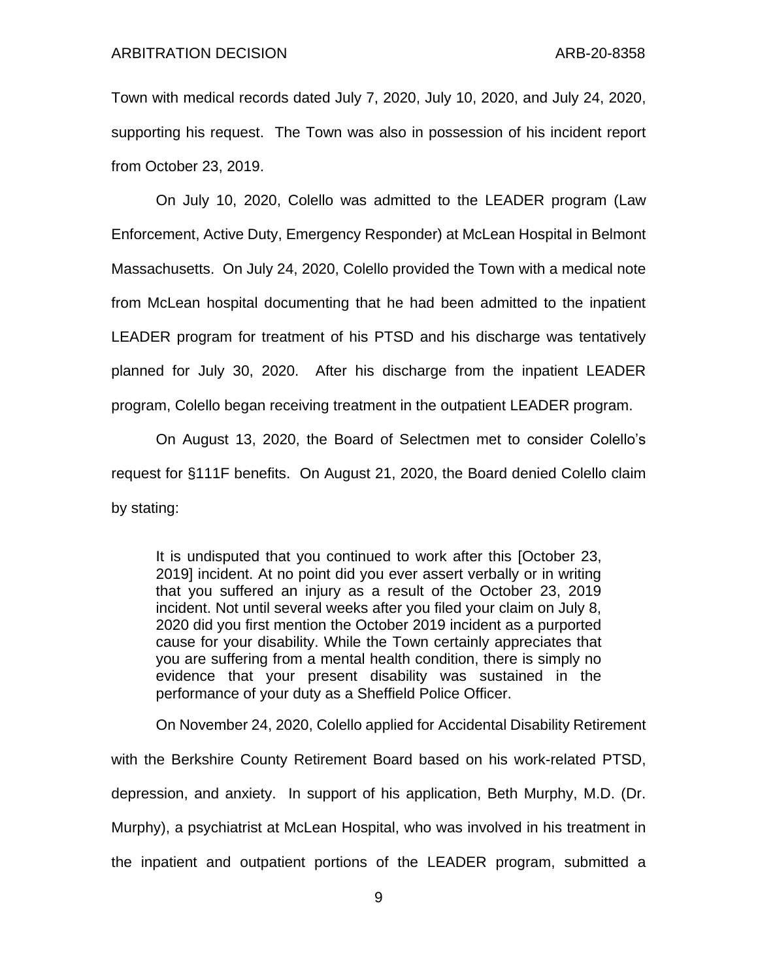Town with medical records dated July 7, 2020, July 10, 2020, and July 24, 2020, supporting his request. The Town was also in possession of his incident report from October 23, 2019.

On July 10, 2020, Colello was admitted to the LEADER program (Law Enforcement, Active Duty, Emergency Responder) at McLean Hospital in Belmont Massachusetts. On July 24, 2020, Colello provided the Town with a medical note from McLean hospital documenting that he had been admitted to the inpatient LEADER program for treatment of his PTSD and his discharge was tentatively planned for July 30, 2020. After his discharge from the inpatient LEADER program, Colello began receiving treatment in the outpatient LEADER program.

On August 13, 2020, the Board of Selectmen met to consider Colello's request for §111F benefits. On August 21, 2020, the Board denied Colello claim by stating:

It is undisputed that you continued to work after this [October 23, 2019] incident. At no point did you ever assert verbally or in writing that you suffered an injury as a result of the October 23, 2019 incident. Not until several weeks after you filed your claim on July 8, 2020 did you first mention the October 2019 incident as a purported cause for your disability. While the Town certainly appreciates that you are suffering from a mental health condition, there is simply no evidence that your present disability was sustained in the performance of your duty as a Sheffield Police Officer.

On November 24, 2020, Colello applied for Accidental Disability Retirement with the Berkshire County Retirement Board based on his work-related PTSD, depression, and anxiety. In support of his application, Beth Murphy, M.D. (Dr. Murphy), a psychiatrist at McLean Hospital, who was involved in his treatment in the inpatient and outpatient portions of the LEADER program, submitted a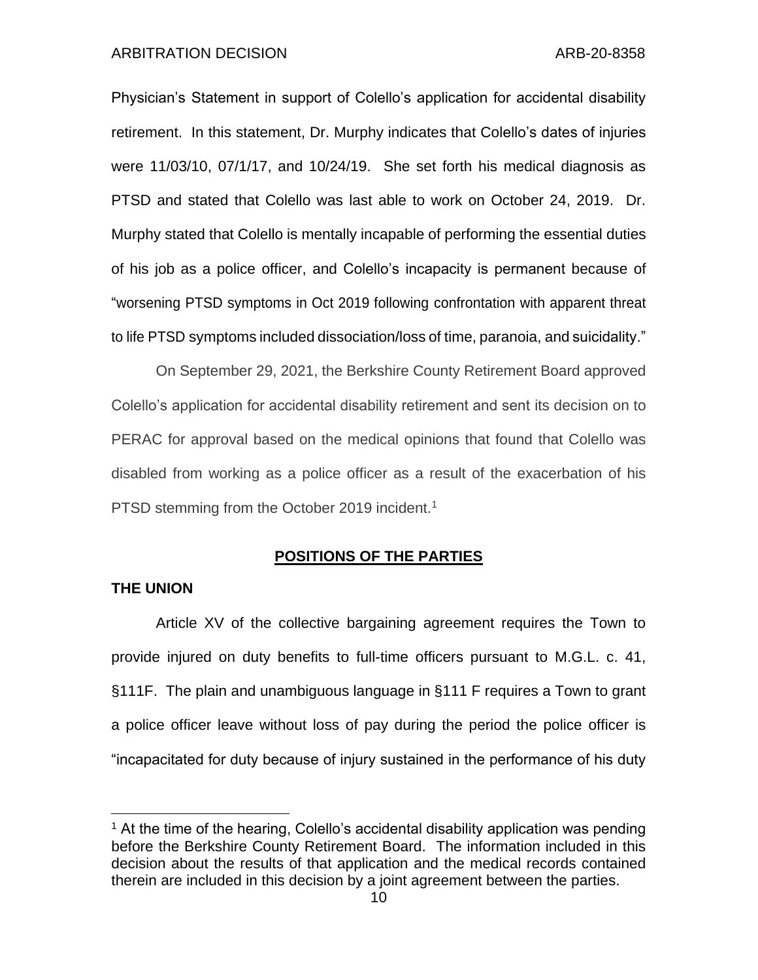Physician's Statement in support of Colello's application for accidental disability retirement. In this statement, Dr. Murphy indicates that Colello's dates of injuries were 11/03/10, 07/1/17, and 10/24/19. She set forth his medical diagnosis as PTSD and stated that Colello was last able to work on October 24, 2019. Dr. Murphy stated that Colello is mentally incapable of performing the essential duties of his job as a police officer, and Colello's incapacity is permanent because of "worsening PTSD symptoms in Oct 2019 following confrontation with apparent threat to life PTSD symptoms included dissociation/loss of time, paranoia, and suicidality."

On September 29, 2021, the Berkshire County Retirement Board approved Colello's application for accidental disability retirement and sent its decision on to PERAC for approval based on the medical opinions that found that Colello was disabled from working as a police officer as a result of the exacerbation of his PTSD stemming from the October 2019 incident.<sup>1</sup>

## **POSITIONS OF THE PARTIES**

## **THE UNION**

Article XV of the collective bargaining agreement requires the Town to provide injured on duty benefits to full-time officers pursuant to M.G.L. c. 41, §111F. The plain and unambiguous language in §111 F requires a Town to grant a police officer leave without loss of pay during the period the police officer is "incapacitated for duty because of injury sustained in the performance of his duty

 $<sup>1</sup>$  At the time of the hearing, Colello's accidental disability application was pending</sup> before the Berkshire County Retirement Board. The information included in this decision about the results of that application and the medical records contained therein are included in this decision by a joint agreement between the parties.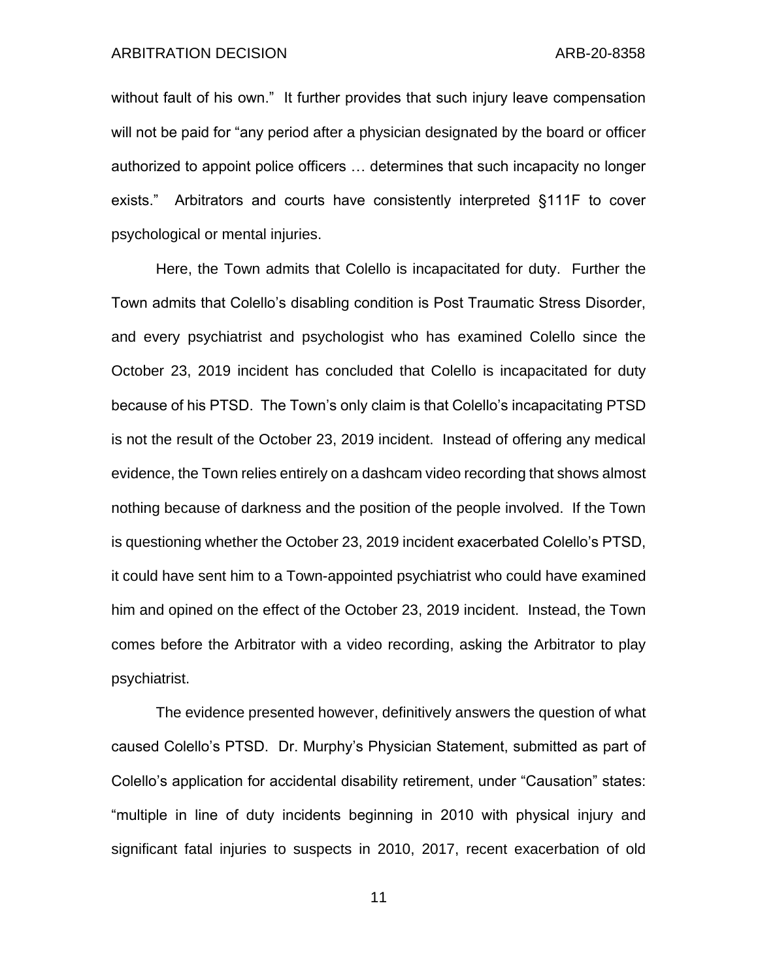without fault of his own." It further provides that such injury leave compensation will not be paid for "any period after a physician designated by the board or officer authorized to appoint police officers … determines that such incapacity no longer exists." Arbitrators and courts have consistently interpreted §111F to cover psychological or mental injuries.

Here, the Town admits that Colello is incapacitated for duty. Further the Town admits that Colello's disabling condition is Post Traumatic Stress Disorder, and every psychiatrist and psychologist who has examined Colello since the October 23, 2019 incident has concluded that Colello is incapacitated for duty because of his PTSD. The Town's only claim is that Colello's incapacitating PTSD is not the result of the October 23, 2019 incident. Instead of offering any medical evidence, the Town relies entirely on a dashcam video recording that shows almost nothing because of darkness and the position of the people involved. If the Town is questioning whether the October 23, 2019 incident exacerbated Colello's PTSD, it could have sent him to a Town-appointed psychiatrist who could have examined him and opined on the effect of the October 23, 2019 incident. Instead, the Town comes before the Arbitrator with a video recording, asking the Arbitrator to play psychiatrist.

The evidence presented however, definitively answers the question of what caused Colello's PTSD. Dr. Murphy's Physician Statement, submitted as part of Colello's application for accidental disability retirement, under "Causation" states: "multiple in line of duty incidents beginning in 2010 with physical injury and significant fatal injuries to suspects in 2010, 2017, recent exacerbation of old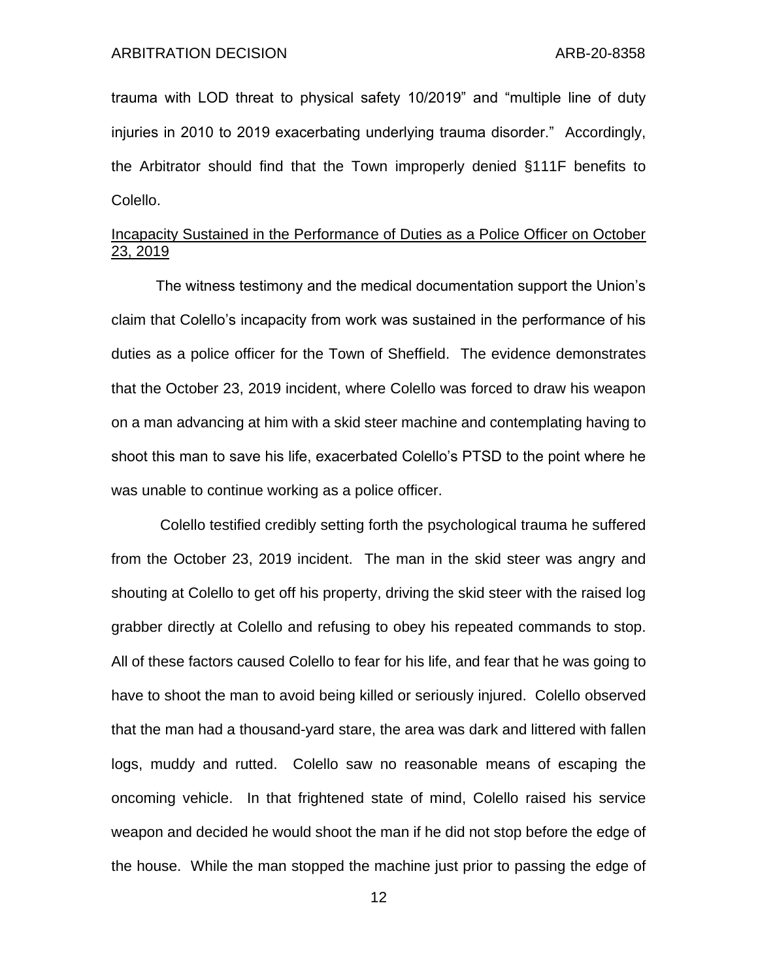trauma with LOD threat to physical safety 10/2019" and "multiple line of duty injuries in 2010 to 2019 exacerbating underlying trauma disorder." Accordingly, the Arbitrator should find that the Town improperly denied §111F benefits to Colello.

# Incapacity Sustained in the Performance of Duties as a Police Officer on October 23, 2019

The witness testimony and the medical documentation support the Union's claim that Colello's incapacity from work was sustained in the performance of his duties as a police officer for the Town of Sheffield. The evidence demonstrates that the October 23, 2019 incident, where Colello was forced to draw his weapon on a man advancing at him with a skid steer machine and contemplating having to shoot this man to save his life, exacerbated Colello's PTSD to the point where he was unable to continue working as a police officer.

Colello testified credibly setting forth the psychological trauma he suffered from the October 23, 2019 incident. The man in the skid steer was angry and shouting at Colello to get off his property, driving the skid steer with the raised log grabber directly at Colello and refusing to obey his repeated commands to stop. All of these factors caused Colello to fear for his life, and fear that he was going to have to shoot the man to avoid being killed or seriously injured. Colello observed that the man had a thousand-yard stare, the area was dark and littered with fallen logs, muddy and rutted. Colello saw no reasonable means of escaping the oncoming vehicle. In that frightened state of mind, Colello raised his service weapon and decided he would shoot the man if he did not stop before the edge of the house. While the man stopped the machine just prior to passing the edge of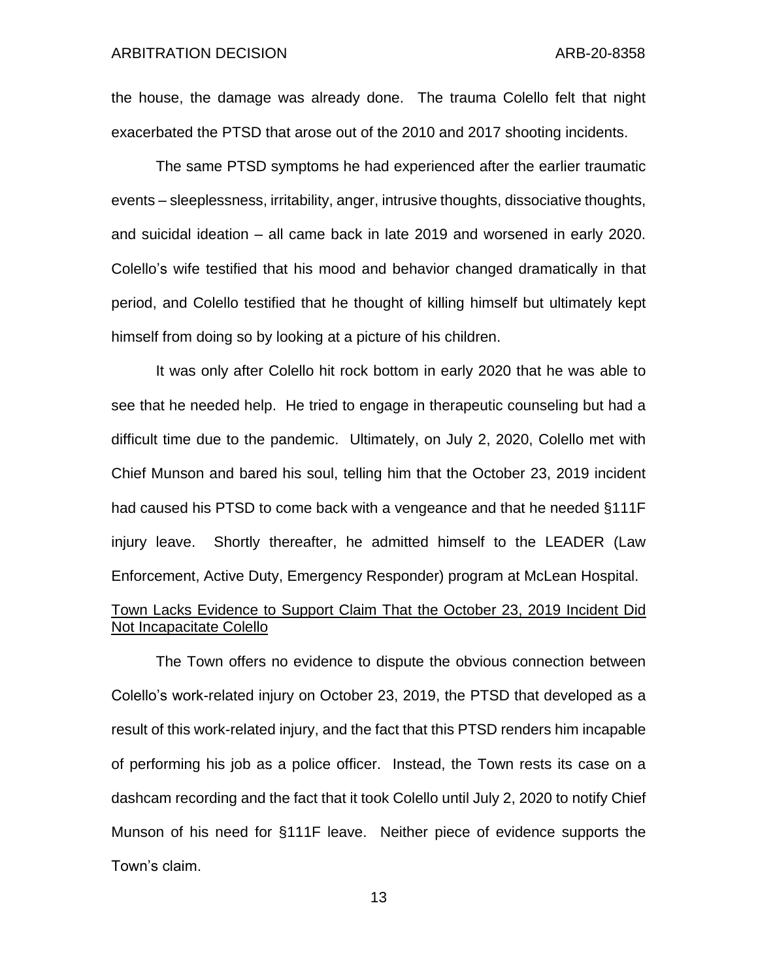the house, the damage was already done. The trauma Colello felt that night exacerbated the PTSD that arose out of the 2010 and 2017 shooting incidents.

The same PTSD symptoms he had experienced after the earlier traumatic events – sleeplessness, irritability, anger, intrusive thoughts, dissociative thoughts, and suicidal ideation – all came back in late 2019 and worsened in early 2020. Colello's wife testified that his mood and behavior changed dramatically in that period, and Colello testified that he thought of killing himself but ultimately kept himself from doing so by looking at a picture of his children.

It was only after Colello hit rock bottom in early 2020 that he was able to see that he needed help. He tried to engage in therapeutic counseling but had a difficult time due to the pandemic. Ultimately, on July 2, 2020, Colello met with Chief Munson and bared his soul, telling him that the October 23, 2019 incident had caused his PTSD to come back with a vengeance and that he needed §111F injury leave. Shortly thereafter, he admitted himself to the LEADER (Law Enforcement, Active Duty, Emergency Responder) program at McLean Hospital.

# Town Lacks Evidence to Support Claim That the October 23, 2019 Incident Did Not Incapacitate Colello

The Town offers no evidence to dispute the obvious connection between Colello's work-related injury on October 23, 2019, the PTSD that developed as a result of this work-related injury, and the fact that this PTSD renders him incapable of performing his job as a police officer. Instead, the Town rests its case on a dashcam recording and the fact that it took Colello until July 2, 2020 to notify Chief Munson of his need for §111F leave. Neither piece of evidence supports the Town's claim.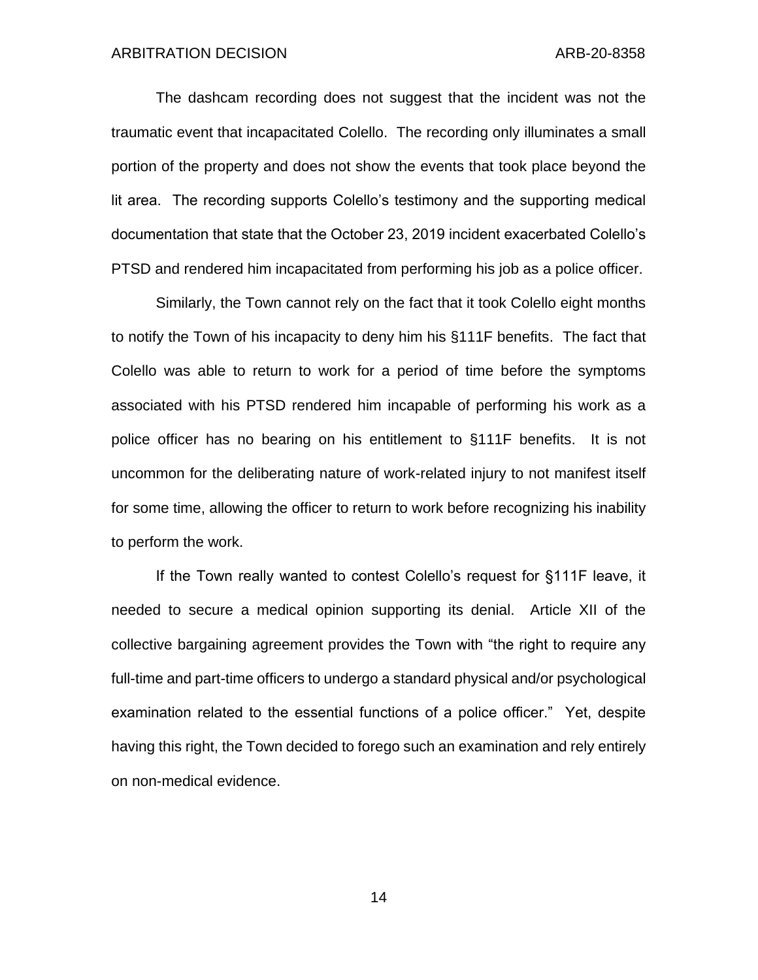The dashcam recording does not suggest that the incident was not the traumatic event that incapacitated Colello. The recording only illuminates a small portion of the property and does not show the events that took place beyond the lit area. The recording supports Colello's testimony and the supporting medical documentation that state that the October 23, 2019 incident exacerbated Colello's PTSD and rendered him incapacitated from performing his job as a police officer.

Similarly, the Town cannot rely on the fact that it took Colello eight months to notify the Town of his incapacity to deny him his §111F benefits. The fact that Colello was able to return to work for a period of time before the symptoms associated with his PTSD rendered him incapable of performing his work as a police officer has no bearing on his entitlement to §111F benefits. It is not uncommon for the deliberating nature of work-related injury to not manifest itself for some time, allowing the officer to return to work before recognizing his inability to perform the work.

If the Town really wanted to contest Colello's request for §111F leave, it needed to secure a medical opinion supporting its denial. Article XII of the collective bargaining agreement provides the Town with "the right to require any full-time and part-time officers to undergo a standard physical and/or psychological examination related to the essential functions of a police officer." Yet, despite having this right, the Town decided to forego such an examination and rely entirely on non-medical evidence.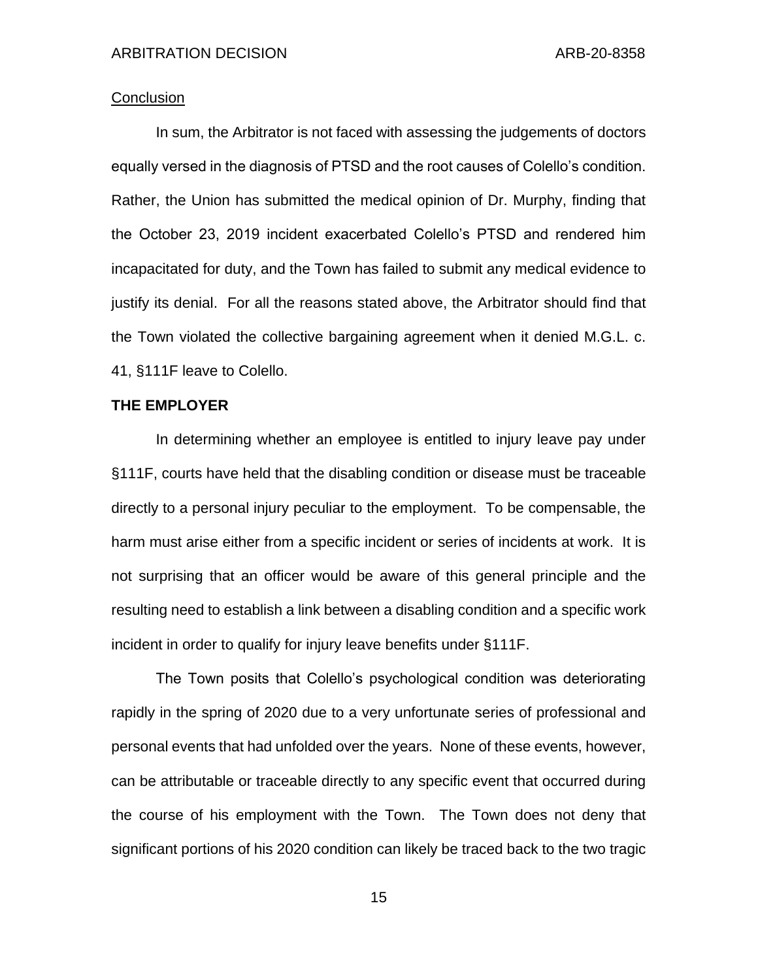## **Conclusion**

In sum, the Arbitrator is not faced with assessing the judgements of doctors equally versed in the diagnosis of PTSD and the root causes of Colello's condition. Rather, the Union has submitted the medical opinion of Dr. Murphy, finding that the October 23, 2019 incident exacerbated Colello's PTSD and rendered him incapacitated for duty, and the Town has failed to submit any medical evidence to justify its denial. For all the reasons stated above, the Arbitrator should find that the Town violated the collective bargaining agreement when it denied M.G.L. c. 41, §111F leave to Colello.

### **THE EMPLOYER**

In determining whether an employee is entitled to injury leave pay under §111F, courts have held that the disabling condition or disease must be traceable directly to a personal injury peculiar to the employment. To be compensable, the harm must arise either from a specific incident or series of incidents at work. It is not surprising that an officer would be aware of this general principle and the resulting need to establish a link between a disabling condition and a specific work incident in order to qualify for injury leave benefits under §111F.

The Town posits that Colello's psychological condition was deteriorating rapidly in the spring of 2020 due to a very unfortunate series of professional and personal events that had unfolded over the years. None of these events, however, can be attributable or traceable directly to any specific event that occurred during the course of his employment with the Town. The Town does not deny that significant portions of his 2020 condition can likely be traced back to the two tragic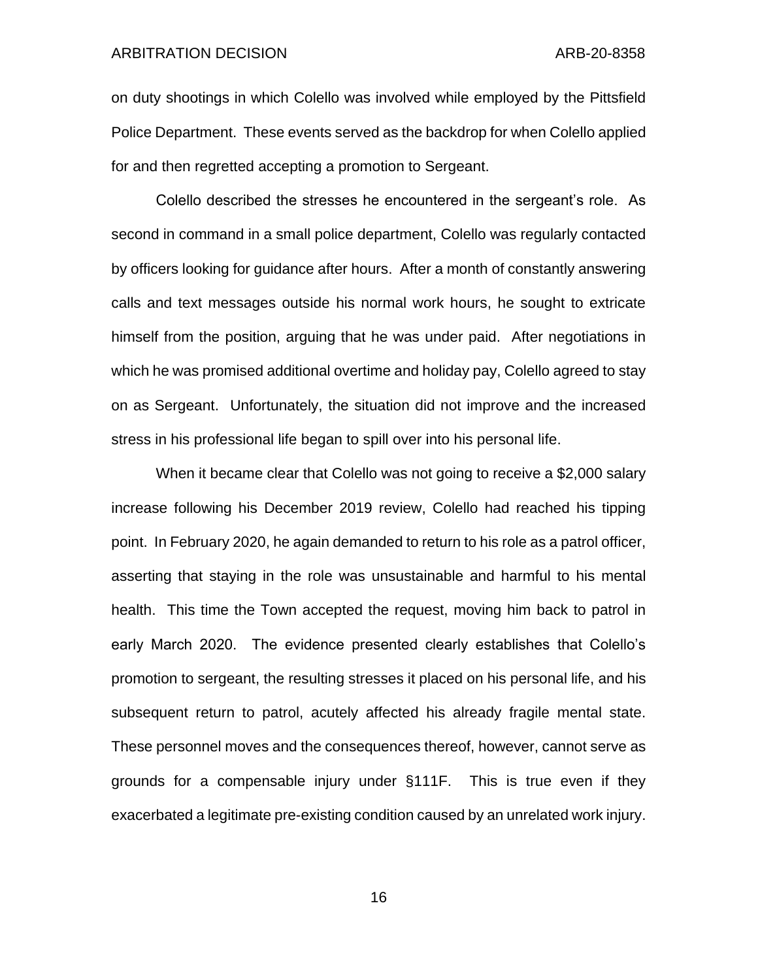on duty shootings in which Colello was involved while employed by the Pittsfield Police Department. These events served as the backdrop for when Colello applied for and then regretted accepting a promotion to Sergeant.

Colello described the stresses he encountered in the sergeant's role. As second in command in a small police department, Colello was regularly contacted by officers looking for guidance after hours. After a month of constantly answering calls and text messages outside his normal work hours, he sought to extricate himself from the position, arguing that he was under paid. After negotiations in which he was promised additional overtime and holiday pay, Colello agreed to stay on as Sergeant. Unfortunately, the situation did not improve and the increased stress in his professional life began to spill over into his personal life.

When it became clear that Colello was not going to receive a \$2,000 salary increase following his December 2019 review, Colello had reached his tipping point. In February 2020, he again demanded to return to his role as a patrol officer, asserting that staying in the role was unsustainable and harmful to his mental health. This time the Town accepted the request, moving him back to patrol in early March 2020. The evidence presented clearly establishes that Colello's promotion to sergeant, the resulting stresses it placed on his personal life, and his subsequent return to patrol, acutely affected his already fragile mental state. These personnel moves and the consequences thereof, however, cannot serve as grounds for a compensable injury under §111F. This is true even if they exacerbated a legitimate pre-existing condition caused by an unrelated work injury.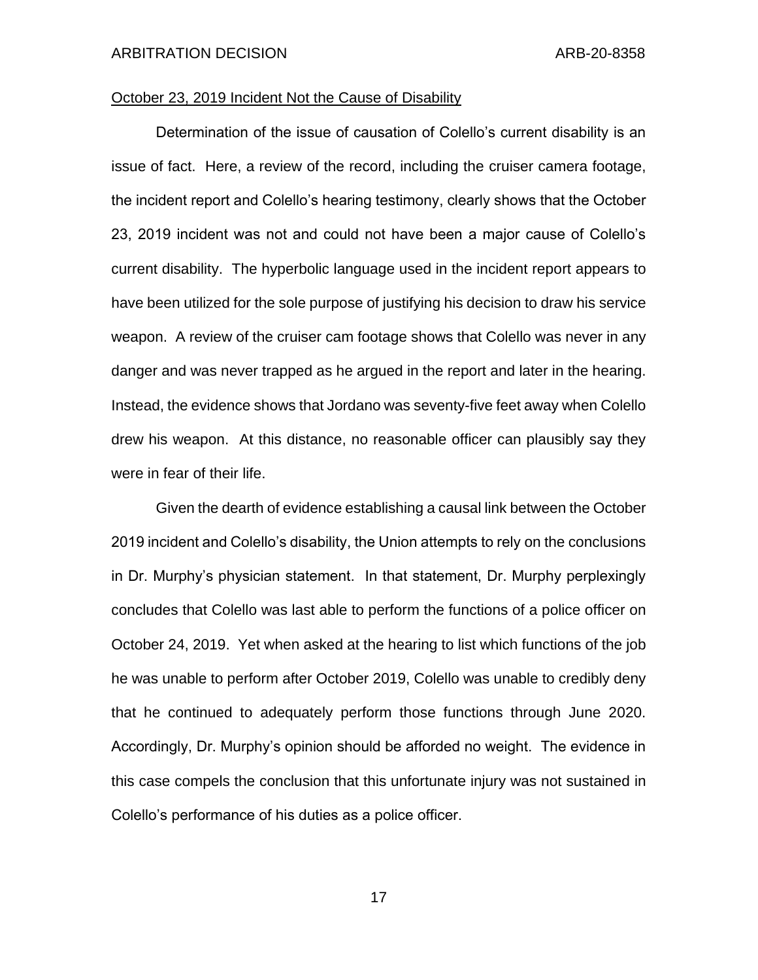# October 23, 2019 Incident Not the Cause of Disability

Determination of the issue of causation of Colello's current disability is an issue of fact. Here, a review of the record, including the cruiser camera footage, the incident report and Colello's hearing testimony, clearly shows that the October 23, 2019 incident was not and could not have been a major cause of Colello's current disability. The hyperbolic language used in the incident report appears to have been utilized for the sole purpose of justifying his decision to draw his service weapon. A review of the cruiser cam footage shows that Colello was never in any danger and was never trapped as he argued in the report and later in the hearing. Instead, the evidence shows that Jordano was seventy-five feet away when Colello drew his weapon. At this distance, no reasonable officer can plausibly say they were in fear of their life.

Given the dearth of evidence establishing a causal link between the October 2019 incident and Colello's disability, the Union attempts to rely on the conclusions in Dr. Murphy's physician statement. In that statement, Dr. Murphy perplexingly concludes that Colello was last able to perform the functions of a police officer on October 24, 2019. Yet when asked at the hearing to list which functions of the job he was unable to perform after October 2019, Colello was unable to credibly deny that he continued to adequately perform those functions through June 2020. Accordingly, Dr. Murphy's opinion should be afforded no weight. The evidence in this case compels the conclusion that this unfortunate injury was not sustained in Colello's performance of his duties as a police officer.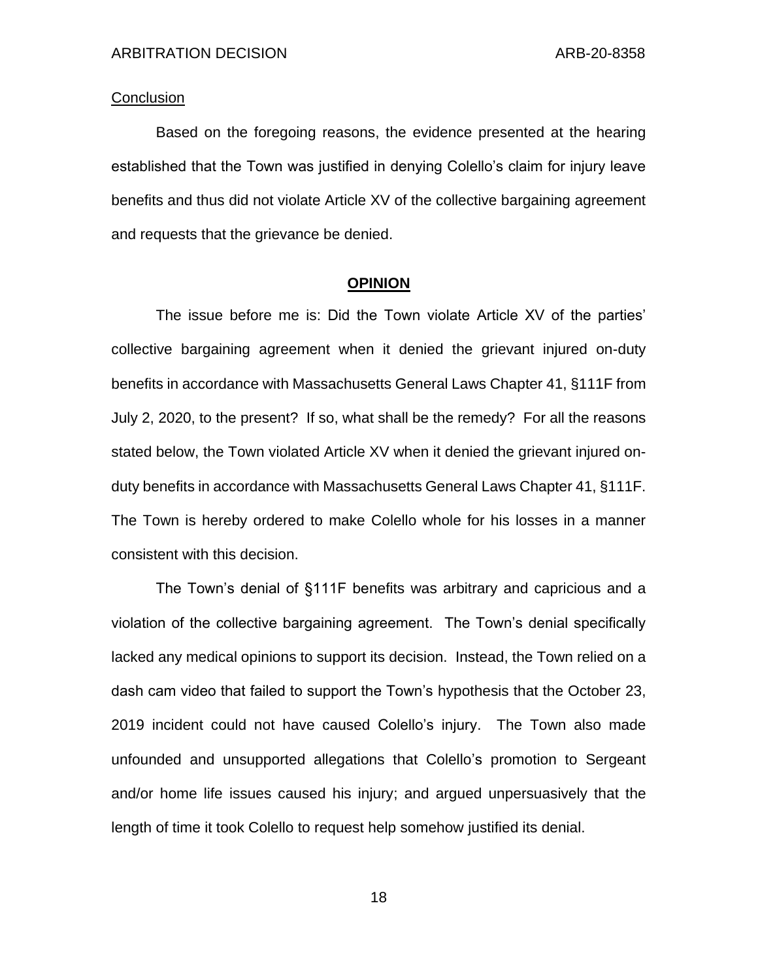## **Conclusion**

Based on the foregoing reasons, the evidence presented at the hearing established that the Town was justified in denying Colello's claim for injury leave benefits and thus did not violate Article XV of the collective bargaining agreement and requests that the grievance be denied.

## **OPINION**

The issue before me is: Did the Town violate Article XV of the parties' collective bargaining agreement when it denied the grievant injured on-duty benefits in accordance with Massachusetts General Laws Chapter 41, §111F from July 2, 2020, to the present? If so, what shall be the remedy? For all the reasons stated below, the Town violated Article XV when it denied the grievant injured onduty benefits in accordance with Massachusetts General Laws Chapter 41, §111F. The Town is hereby ordered to make Colello whole for his losses in a manner consistent with this decision.

The Town's denial of §111F benefits was arbitrary and capricious and a violation of the collective bargaining agreement. The Town's denial specifically lacked any medical opinions to support its decision. Instead, the Town relied on a dash cam video that failed to support the Town's hypothesis that the October 23, 2019 incident could not have caused Colello's injury. The Town also made unfounded and unsupported allegations that Colello's promotion to Sergeant and/or home life issues caused his injury; and argued unpersuasively that the length of time it took Colello to request help somehow justified its denial.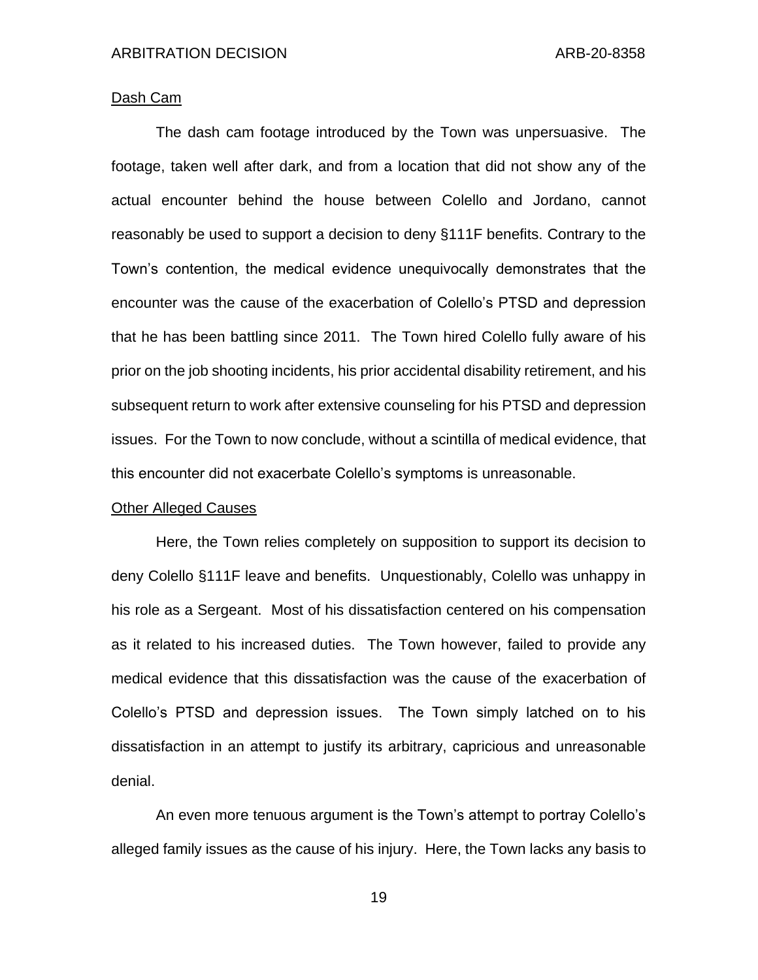## Dash Cam

The dash cam footage introduced by the Town was unpersuasive. The footage, taken well after dark, and from a location that did not show any of the actual encounter behind the house between Colello and Jordano, cannot reasonably be used to support a decision to deny §111F benefits. Contrary to the Town's contention, the medical evidence unequivocally demonstrates that the encounter was the cause of the exacerbation of Colello's PTSD and depression that he has been battling since 2011. The Town hired Colello fully aware of his prior on the job shooting incidents, his prior accidental disability retirement, and his subsequent return to work after extensive counseling for his PTSD and depression issues. For the Town to now conclude, without a scintilla of medical evidence, that this encounter did not exacerbate Colello's symptoms is unreasonable.

### Other Alleged Causes

Here, the Town relies completely on supposition to support its decision to deny Colello §111F leave and benefits. Unquestionably, Colello was unhappy in his role as a Sergeant. Most of his dissatisfaction centered on his compensation as it related to his increased duties. The Town however, failed to provide any medical evidence that this dissatisfaction was the cause of the exacerbation of Colello's PTSD and depression issues. The Town simply latched on to his dissatisfaction in an attempt to justify its arbitrary, capricious and unreasonable denial.

An even more tenuous argument is the Town's attempt to portray Colello's alleged family issues as the cause of his injury. Here, the Town lacks any basis to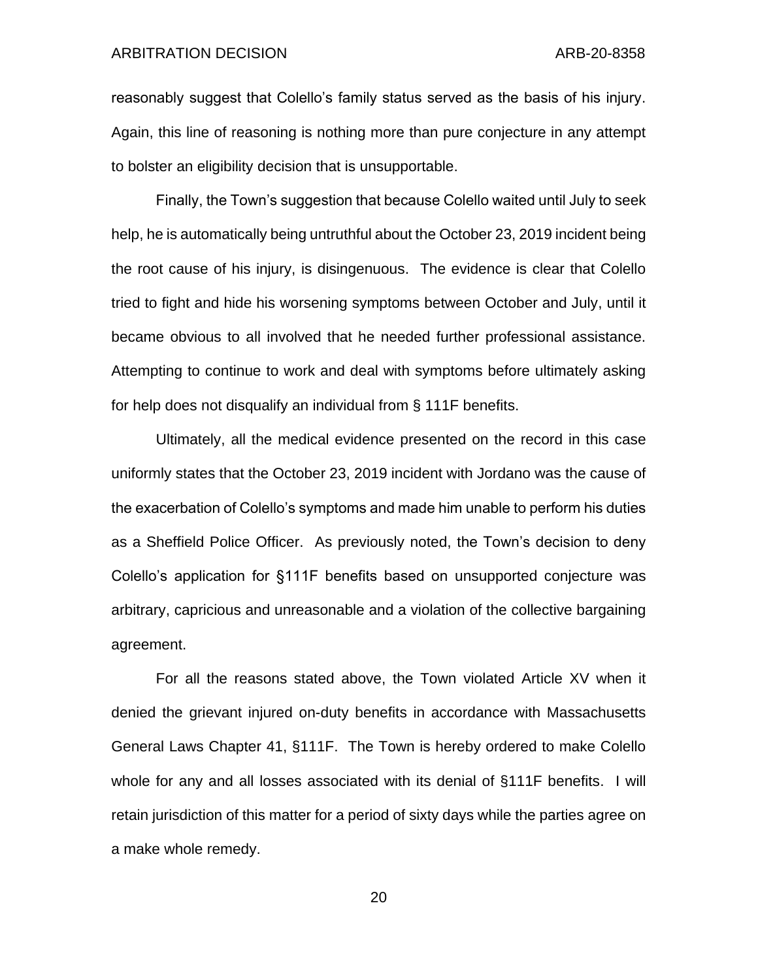reasonably suggest that Colello's family status served as the basis of his injury. Again, this line of reasoning is nothing more than pure conjecture in any attempt to bolster an eligibility decision that is unsupportable.

Finally, the Town's suggestion that because Colello waited until July to seek help, he is automatically being untruthful about the October 23, 2019 incident being the root cause of his injury, is disingenuous. The evidence is clear that Colello tried to fight and hide his worsening symptoms between October and July, until it became obvious to all involved that he needed further professional assistance. Attempting to continue to work and deal with symptoms before ultimately asking for help does not disqualify an individual from § 111F benefits.

Ultimately, all the medical evidence presented on the record in this case uniformly states that the October 23, 2019 incident with Jordano was the cause of the exacerbation of Colello's symptoms and made him unable to perform his duties as a Sheffield Police Officer. As previously noted, the Town's decision to deny Colello's application for §111F benefits based on unsupported conjecture was arbitrary, capricious and unreasonable and a violation of the collective bargaining agreement.

For all the reasons stated above, the Town violated Article XV when it denied the grievant injured on-duty benefits in accordance with Massachusetts General Laws Chapter 41, §111F. The Town is hereby ordered to make Colello whole for any and all losses associated with its denial of §111F benefits. I will retain jurisdiction of this matter for a period of sixty days while the parties agree on a make whole remedy.